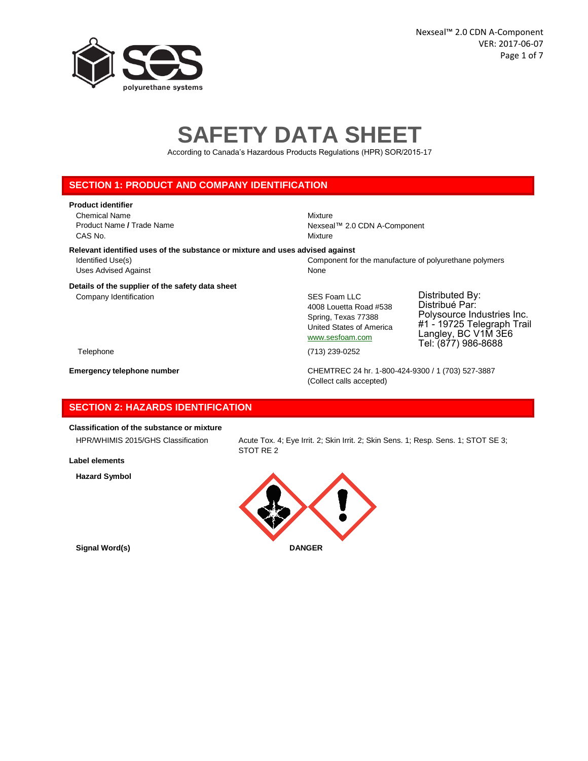

# **SAFETY DATA SHEET**

According to Canada's Hazardous Products Regulations (HPR) SOR/2015-17

## **SECTION 1: PRODUCT AND COMPANY IDENTIFICATION**

#### **Product identifier**

Chemical Name Mixture CAS No. Notice that the contract of the contract of the contract of the contract of the contract of the contract of the contract of the contract of the contract of the contract of the contract of the contract of the contra

Product Name / Trade Name Nexseal™ 2.0 CDN A-Component

#### **Relevant identified uses of the substance or mixture and uses advised against**

Identified Use(s) Component for the manufacture of polyurethane polymers Uses Advised Against None

#### **Details of the supplier of the safety data sheet**

Company Identification Company Identification Company Identification

4008 Louetta Road #538 Spring, Texas 77388 United States of America

www.sesfoam.com

Polysource Industries Inc. #1 - 19725 Telegraph Trail Langley, BC V1M 3E6 Tel: (877) 986-8688

Distributed By: Distribué Par:

Telephone (713) 239-0252

**Emergency telephone number** CHEMTREC 24 hr. 1-800-424-9300 / 1 (703) 527-3887 (Collect calls accepted)

# **SECTION 2: HAZARDS IDENTIFICATION**

# **Classification of the substance or mixture**

**Label elements**

**Hazard Symbol**

HPR/WHIMIS 2015/GHS Classification Acute Tox. 4; Eye Irrit. 2; Skin Irrit. 2; Skin Sens. 1; Resp. Sens. 1; STOT SE 3; STOT RE 2

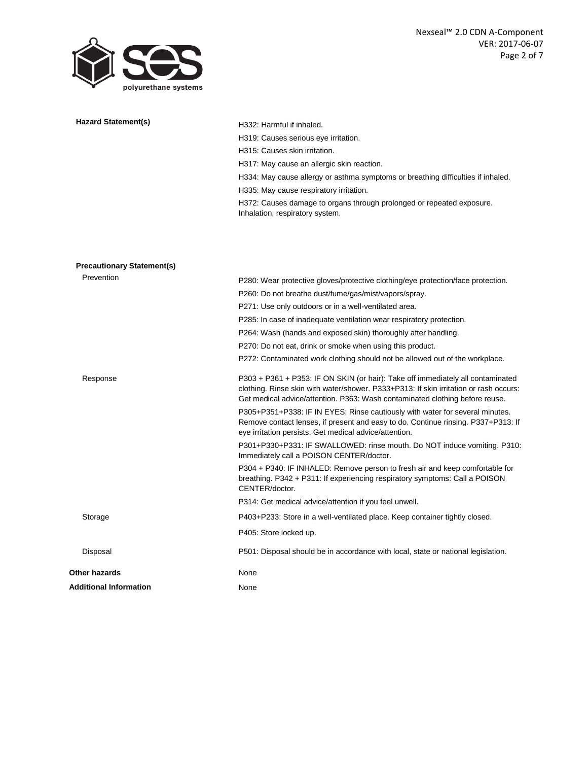

| Hazard Statement(s)               | H332: Harmful if inhaled.                                                                                                                                                                                                                                |
|-----------------------------------|----------------------------------------------------------------------------------------------------------------------------------------------------------------------------------------------------------------------------------------------------------|
|                                   | H319: Causes serious eve irritation.                                                                                                                                                                                                                     |
|                                   | H315: Causes skin irritation.                                                                                                                                                                                                                            |
|                                   | H317: May cause an allergic skin reaction.                                                                                                                                                                                                               |
|                                   |                                                                                                                                                                                                                                                          |
|                                   | H334: May cause allergy or asthma symptoms or breathing difficulties if inhaled.                                                                                                                                                                         |
|                                   | H335: May cause respiratory irritation.                                                                                                                                                                                                                  |
|                                   | H372: Causes damage to organs through prolonged or repeated exposure.<br>Inhalation, respiratory system.                                                                                                                                                 |
|                                   |                                                                                                                                                                                                                                                          |
| <b>Precautionary Statement(s)</b> |                                                                                                                                                                                                                                                          |
| Prevention                        | P280: Wear protective gloves/protective clothing/eye protection/face protection.                                                                                                                                                                         |
|                                   | P260: Do not breathe dust/fume/gas/mist/vapors/spray.                                                                                                                                                                                                    |
|                                   | P271: Use only outdoors or in a well-ventilated area.                                                                                                                                                                                                    |
|                                   | P285: In case of inadequate ventilation wear respiratory protection.                                                                                                                                                                                     |
|                                   | P264: Wash (hands and exposed skin) thoroughly after handling.                                                                                                                                                                                           |
|                                   | P270: Do not eat, drink or smoke when using this product.                                                                                                                                                                                                |
|                                   | P272: Contaminated work clothing should not be allowed out of the workplace.                                                                                                                                                                             |
| Response                          | P303 + P361 + P353: IF ON SKIN (or hair): Take off immediately all contaminated<br>clothing. Rinse skin with water/shower. P333+P313: If skin irritation or rash occurs:<br>Get medical advice/attention. P363: Wash contaminated clothing before reuse. |
|                                   | P305+P351+P338: IF IN EYES: Rinse cautiously with water for several minutes.<br>Remove contact lenses, if present and easy to do. Continue rinsing. P337+P313: If<br>eye irritation persists: Get medical advice/attention.                              |
|                                   | P301+P330+P331: IF SWALLOWED: rinse mouth. Do NOT induce vomiting. P310:<br>Immediately call a POISON CENTER/doctor.                                                                                                                                     |
|                                   | P304 + P340: IF INHALED: Remove person to fresh air and keep comfortable for<br>breathing. P342 + P311: If experiencing respiratory symptoms: Call a POISON<br>CENTER/doctor.                                                                            |
|                                   | P314: Get medical advice/attention if you feel unwell.                                                                                                                                                                                                   |
| Storage                           | P403+P233: Store in a well-ventilated place. Keep container tightly closed.                                                                                                                                                                              |
|                                   | P405: Store locked up.                                                                                                                                                                                                                                   |
| Disposal                          | P501: Disposal should be in accordance with local, state or national legislation.                                                                                                                                                                        |
| Other hazards                     | None                                                                                                                                                                                                                                                     |
| Additional Information            | None                                                                                                                                                                                                                                                     |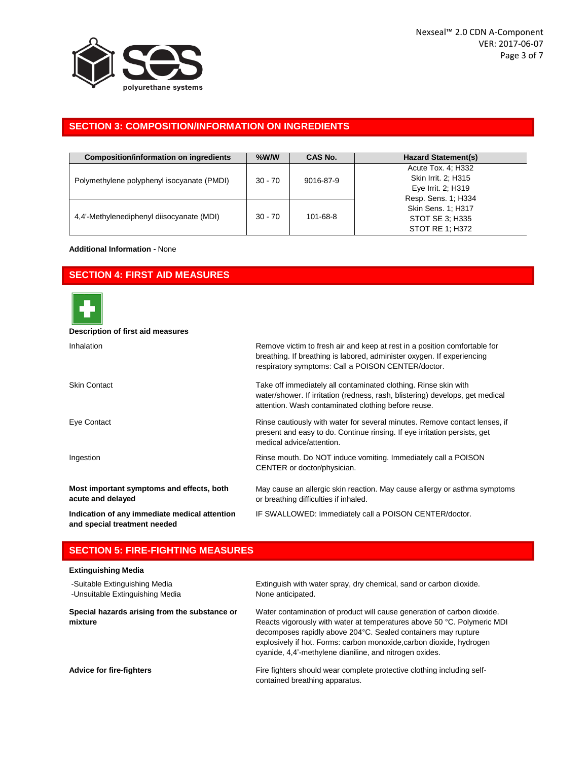

# **SECTION 3: COMPOSITION/INFORMATION ON INGREDIENTS**

| <b>Composition/information on ingredients</b> | $%$ W/W<br>CAS No.     |          | <b>Hazard Statement(s)</b>                                                             |  |
|-----------------------------------------------|------------------------|----------|----------------------------------------------------------------------------------------|--|
| Polymethylene polyphenyl isocyanate (PMDI)    | $30 - 70$<br>9016-87-9 |          | Acute Tox. 4: H332<br>Skin Irrit. 2: H315<br>Eye Irrit. 2; H319<br>Resp. Sens. 1; H334 |  |
| 4.4'-Methylenediphenyl diisocyanate (MDI)     | $30 - 70$              | 101-68-8 | Skin Sens. 1; H317<br>STOT SE 3: H335<br>STOT RE 1: H372                               |  |

### **Additional Information -** None

## **SECTION 4: FIRST AID MEASURES**



#### **Description of first aid measures**

| Inhalation                                                                    | Remove victim to fresh air and keep at rest in a position comfortable for<br>breathing. If breathing is labored, administer oxygen. If experiencing<br>respiratory symptoms: Call a POISON CENTER/doctor. |
|-------------------------------------------------------------------------------|-----------------------------------------------------------------------------------------------------------------------------------------------------------------------------------------------------------|
| <b>Skin Contact</b>                                                           | Take off immediately all contaminated clothing. Rinse skin with<br>water/shower. If irritation (redness, rash, blistering) develops, get medical<br>attention. Wash contaminated clothing before reuse.   |
| Eye Contact                                                                   | Rinse cautiously with water for several minutes. Remove contact lenses, if<br>present and easy to do. Continue rinsing. If eye irritation persists, get<br>medical advice/attention.                      |
| Ingestion                                                                     | Rinse mouth. Do NOT induce vomiting. Immediately call a POISON<br>CENTER or doctor/physician.                                                                                                             |
| Most important symptoms and effects, both<br>acute and delayed                | May cause an allergic skin reaction. May cause allergy or asthma symptoms<br>or breathing difficulties if inhaled.                                                                                        |
| Indication of any immediate medical attention<br>and special treatment needed | IF SWALLOWED: Immediately call a POISON CENTER/doctor.                                                                                                                                                    |

## **SECTION 5: FIRE-FIGHTING MEASURES**

| <b>Extinguishing Media</b>                                       |                                                                                                                                                                                                                                                                                                                                                        |
|------------------------------------------------------------------|--------------------------------------------------------------------------------------------------------------------------------------------------------------------------------------------------------------------------------------------------------------------------------------------------------------------------------------------------------|
| -Suitable Extinguishing Media<br>-Unsuitable Extinguishing Media | Extinguish with water spray, dry chemical, sand or carbon dioxide.<br>None anticipated.                                                                                                                                                                                                                                                                |
| Special hazards arising from the substance or<br>mixture         | Water contamination of product will cause generation of carbon dioxide.<br>Reacts vigorously with water at temperatures above 50 °C. Polymeric MDI<br>decomposes rapidly above 204°C. Sealed containers may rupture<br>explosively if hot. Forms: carbon monoxide, carbon dioxide, hydrogen<br>cyanide, 4,4'-methylene dianiline, and nitrogen oxides. |
| <b>Advice for fire-fighters</b>                                  | Fire fighters should wear complete protective clothing including self-<br>contained breathing apparatus.                                                                                                                                                                                                                                               |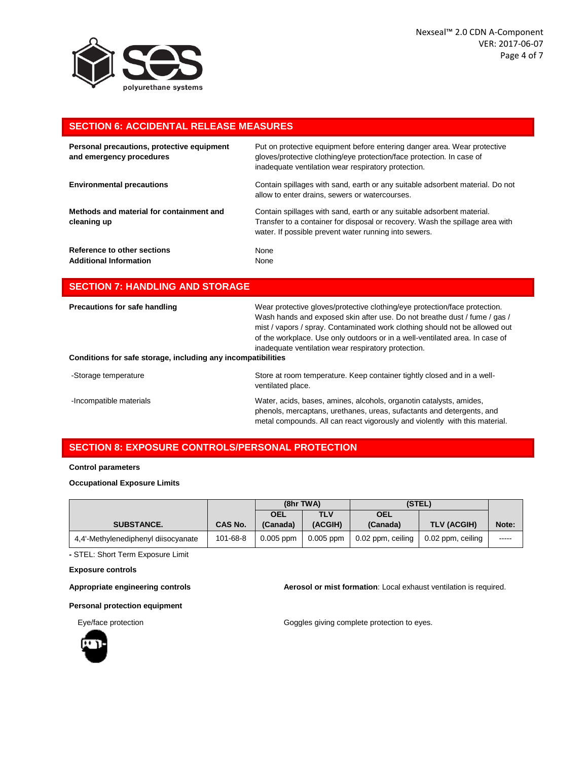

# **SECTION 6: ACCIDENTAL RELEASE MEASURES**

| Personal precautions, protective equipment<br>and emergency procedures | Put on protective equipment before entering danger area. Wear protective<br>gloves/protective clothing/eye protection/face protection. In case of<br>inadequate ventilation wear respiratory protection.         |
|------------------------------------------------------------------------|------------------------------------------------------------------------------------------------------------------------------------------------------------------------------------------------------------------|
| <b>Environmental precautions</b>                                       | Contain spillages with sand, earth or any suitable adsorbent material. Do not<br>allow to enter drains, sewers or watercourses.                                                                                  |
| Methods and material for containment and<br>cleaning up                | Contain spillages with sand, earth or any suitable adsorbent material.<br>Transfer to a container for disposal or recovery. Wash the spillage area with<br>water. If possible prevent water running into sewers. |
| Reference to other sections<br><b>Additional Information</b>           | None<br>None                                                                                                                                                                                                     |

# **SECTION 7: HANDLING AND STORAGE**

| Precautions for safe handling<br>Conditions for safe storage, including any incompatibilities | Wear protective gloves/protective clothing/eye protection/face protection.<br>Wash hands and exposed skin after use. Do not breathe dust / fume / gas /<br>mist / vapors / spray. Contaminated work clothing should not be allowed out<br>of the workplace. Use only outdoors or in a well-ventilated area. In case of<br>inadequate ventilation wear respiratory protection. |
|-----------------------------------------------------------------------------------------------|-------------------------------------------------------------------------------------------------------------------------------------------------------------------------------------------------------------------------------------------------------------------------------------------------------------------------------------------------------------------------------|
| -Storage temperature                                                                          | Store at room temperature. Keep container tightly closed and in a well-<br>ventilated place.                                                                                                                                                                                                                                                                                  |
| -Incompatible materials                                                                       | Water, acids, bases, amines, alcohols, organotin catalysts, amides,<br>phenols, mercaptans, urethanes, ureas, sufactants and detergents, and<br>metal compounds. All can react vigorously and violently with this material.                                                                                                                                                   |

# **SECTION 8: EXPOSURE CONTROLS/PERSONAL PROTECTION**

#### **Control parameters**

#### **Occupational Exposure Limits**

|                                     |                | (8hr TWA)   |             | (STEL)            |                    |       |
|-------------------------------------|----------------|-------------|-------------|-------------------|--------------------|-------|
|                                     |                | <b>OEL</b>  | <b>TLV</b>  | <b>OEL</b>        |                    |       |
| <b>SUBSTANCE.</b>                   | <b>CAS No.</b> | (Canada)    | (ACGIH)     | (Canada)          | <b>TLV (ACGIH)</b> | Note: |
| 4.4'-Methylenediphenyl diisocyanate | 101-68-8       | $0.005$ ppm | $0.005$ ppm | 0.02 ppm, ceiling | 0.02 ppm, ceiling  | ----- |

**-** STEL: Short Term Exposure Limit

#### **Exposure controls**

**Appropriate engineering controls Aerosol or mist formation**: Local exhaust ventilation is required.

**Personal protection equipment**



Eye/face protection extending the Goggles giving complete protection to eyes.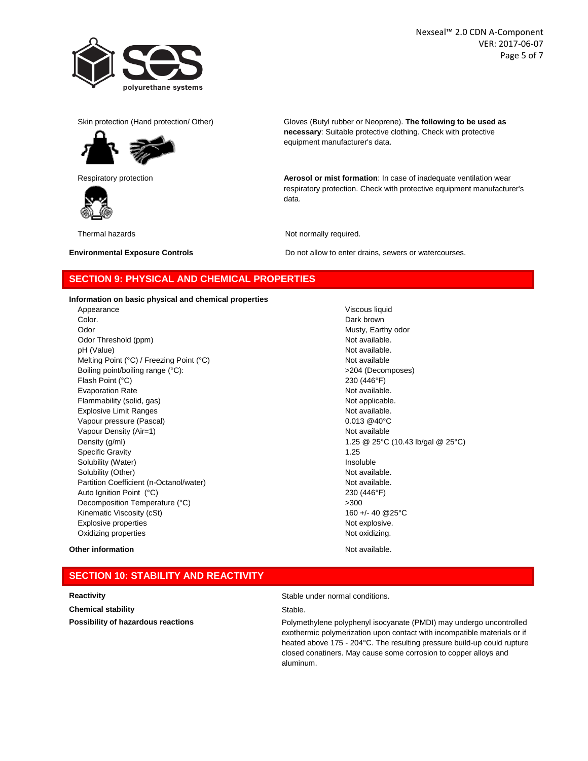

Nexseal™ 2.0 CDN A-Component VER: 2017-06-07 Page 5 of 7





Skin protection (Hand protection/ Other) Gloves (Butyl rubber or Neoprene). **The following to be used as necessary**: Suitable protective clothing. Check with protective equipment manufacturer's data.

Respiratory protection **Aerosol or mist formation**: In case of inadequate ventilation wear respiratory protection. Check with protective equipment manufacturer's data.

Thermal hazards **Not normally required.** 

**Environmental Exposure Controls Do not allow to enter drains, sewers or watercourses.** 

## **SECTION 9: PHYSICAL AND CHEMICAL PROPERTIES**

**Information on basic physical and chemical properties**

Appearance **Viscous liquid Color.** Dark brown Odor **Musty, Earthy odor** Musty, Earthy odor Odor Threshold (ppm) Not available. pH (Value) **Not available.** Not available. Melting Point (°C) / Freezing Point (°C) Not available Boiling point/boiling range (°C):  $>$ 204 (Decomposes) Flash Point (°C) 230 (446°F) Evaporation Rate **Not available.** Not available. Flammability (solid, gas) Not applicable. Not applicable. Explosive Limit Ranges Not available. Vapour pressure (Pascal) and the contract of the contract of the contract of the contract of the contract of the contract of the contract of the contract of the contract of the contract of the contract of the contract of t Vapour Density (Air=1) Not available Not available Not available Density (g/ml) 1.25 @ 25°C (10.43 lb/gal @ 25°C) Specific Gravity **1.25** Solubility (Water) and the state of the state of the state of the state of the state of the state of the state of the state of the state of the state of the state of the state of the state of the state of the state of the Solubility (Other) **Not available.** Not available. Partition Coefficient (n-Octanol/water) Not available. Auto Ignition Point (°C) 230 (446°F) Decomposition Temperature (°C)  $>300$ Kinematic Viscosity (cSt) 160 +/- 40 @25°C Explosive properties **Notify Explosive.** Not explosive. Oxidizing properties Not oxidizing.

#### **Other information Other information Other information Not available.**

# **SECTION 10: STABILITY AND REACTIVITY**

**Chemical stability** Stable.

**Reactivity Reactivity Reactivity Stable under normal conditions.** 

**Possibility of hazardous reactions Polymethylene polyphenyl isocyanate (PMDI)** may undergo uncontrolled exothermic polymerization upon contact with incompatible materials or if heated above 175 - 204°C. The resulting pressure build-up could rupture closed conatiners. May cause some corrosion to copper alloys and aluminum.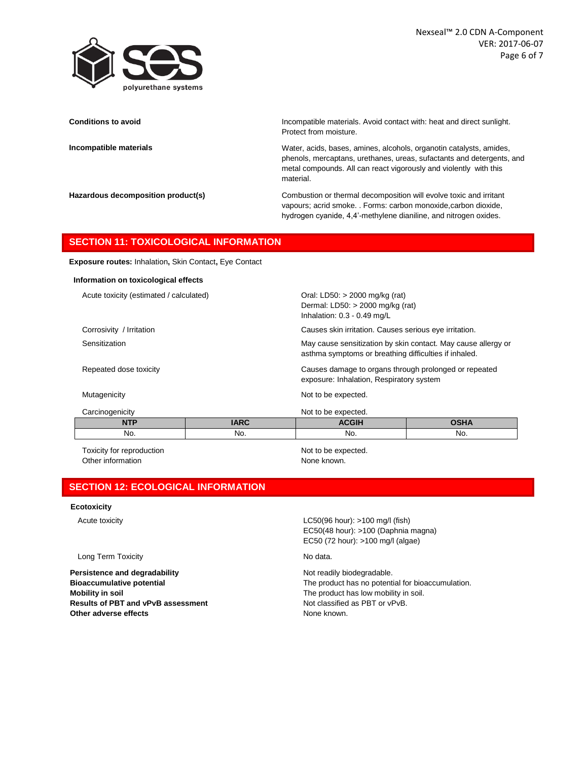

**Conditions to avoid Incompatible materials.** Avoid contact with: heat and direct sunlight. Protect from moisture.

**Incompatible materials** Water, acids, bases, amines, alcohols, organotin catalysts, amides, phenols, mercaptans, urethanes, ureas, sufactants and detergents, and metal compounds. All can react vigorously and violently with this material.

**Hazardous decomposition product(s)** Combustion or thermal decomposition will evolve toxic and irritant vapours; acrid smoke. . Forms: carbon monoxide,carbon dioxide, hydrogen cyanide, 4,4'-methylene dianiline, and nitrogen oxides.

asthma symptoms or breathing difficulties if inhaled.

exposure: Inhalation, Respiratory system

## **SECTION 11: TOXICOLOGICAL INFORMATION**

**Exposure routes:** Inhalation**,** Skin Contact**,** Eye Contact

#### **Information on toxicological effects**

Acute toxicity (estimated / calculated) Calculated Oral: LD50: > 2000 mg/kg (rat)

Corrosivity / Irritation Causes skin irritation. Causes serious eye irritation.

Sensitization **May cause sensitization** by skin contact. May cause allergy or

Repeated dose toxicity Causes damage to organs through prolonged or repeated

Mutagenicity **Mutagenicity** Not to be expected.

Carcinogenicity Not to be expected.

| <b>UCHULOUGHIUR</b> | TWE TO DE CAPECIUM. |        |                      |  |
|---------------------|---------------------|--------|----------------------|--|
| <b>ALCOHOL</b><br>. | $\overline{100}$    | 0.0111 | $\sim$ $\sim$ $\sim$ |  |
| No.                 | No.                 | No.    | No.                  |  |

Toxicity for reproduction Toxicity for reproduction Not to be expected. Other information None known.

Dermal: LD50: > 2000 mg/kg (rat) Inhalation: 0.3 - 0.49 mg/L

# **SECTION 12: ECOLOGICAL INFORMATION**

#### **Ecotoxicity**

Long Term Toxicity **No data**.

**Persistence and degradability Not readily biodegradable.** Not readily biodegradable. **Mobility in soil** Mobility in soil. The product has low mobility in soil. **Results of PBT and vPvB assessment** Not classified as PBT or vPvB. **Other adverse effects** None known.

Acute toxicity **Acute toxicity** LC50(96 hour): >100 mg/l (fish) EC50(48 hour): >100 (Daphnia magna) EC50 (72 hour): >100 mg/l (algae)

**Bioaccumulative potential State of the product has no potential for bioaccumulation.**